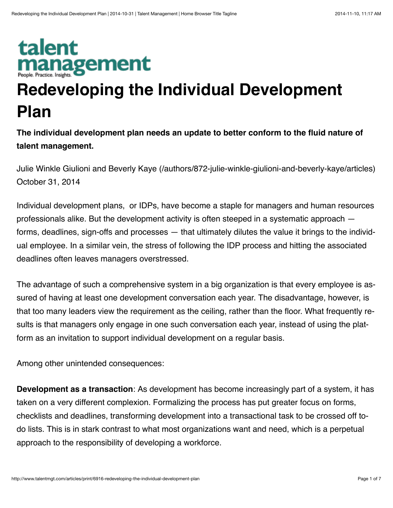## talent **nanagement**

## **Redeveloping the Individual Development Plan**

**The individual development plan needs an update to better conform to the fluid nature of talent management.**

[Julie Winkle Giulioni and Beverly Kaye \(/authors/872-julie-winkle-giulioni-and-beverly-kaye/articles\)](http://www.talentmgt.com/authors/872-julie-winkle-giulioni-and-beverly-kaye/articles) October 31, 2014

Individual development plans, or IDPs, have become a staple for managers and human resources professionals alike. But the development activity is often steeped in a systematic approach forms, deadlines, sign-offs and processes — that ultimately dilutes the value it brings to the individual employee. In a similar vein, the stress of following the IDP process and hitting the associated deadlines often leaves managers overstressed.

The advantage of such a comprehensive system in a big organization is that every employee is as‐ sured of having at least one development conversation each year. The disadvantage, however, is that too many leaders view the requirement as the ceiling, rather than the floor. What frequently re‐ sults is that managers only engage in one such conversation each year, instead of using the plat‐ form as an invitation to support individual development on a regular basis.

Among other unintended consequences:

**Development as a transaction**: As development has become increasingly part of a system, it has taken on a very different complexion. Formalizing the process has put greater focus on forms, checklists and deadlines, transforming development into a transactional task to be crossed off todo lists. This is in stark contrast to what most organizations want and need, which is a perpetual approach to the responsibility of developing a workforce.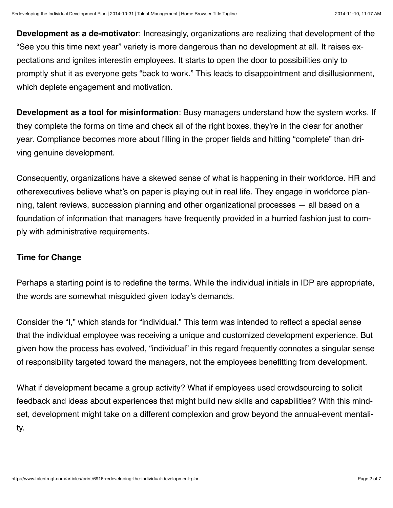**Development as a de-motivator**: Increasingly, organizations are realizing that development of the "See you this time next year" variety is more dangerous than no development at all. It raises ex‐ pectations and ignites interestin employees. It starts to open the door to possibilities only to promptly shut it as everyone gets "back to work." This leads to disappointment and disillusionment, which deplete engagement and motivation.

**Development as a tool for misinformation**: Busy managers understand how the system works. If they complete the forms on time and check all of the right boxes, they're in the clear for another year. Compliance becomes more about filling in the proper fields and hitting "complete" than dri‐ ving genuine development.

Consequently, organizations have a skewed sense of what is happening in their workforce. HR and otherexecutives believe what's on paper is playing out in real life. They engage in workforce plan‐ ning, talent reviews, succession planning and other organizational processes — all based on a foundation of information that managers have frequently provided in a hurried fashion just to com‐ ply with administrative requirements.

## **Time for Change**

Perhaps a starting point is to redefine the terms. While the individual initials in IDP are appropriate, the words are somewhat misguided given today's demands.

Consider the "I," which stands for "individual." This term was intended to reflect a special sense that the individual employee was receiving a unique and customized development experience. But given how the process has evolved, "individual" in this regard frequently connotes a singular sense of responsibility targeted toward the managers, not the employees benefitting from development.

What if development became a group activity? What if employees used crowdsourcing to solicit feedback and ideas about experiences that might build new skills and capabilities? With this mind‐ set, development might take on a different complexion and grow beyond the annual-event mentali‐ ty.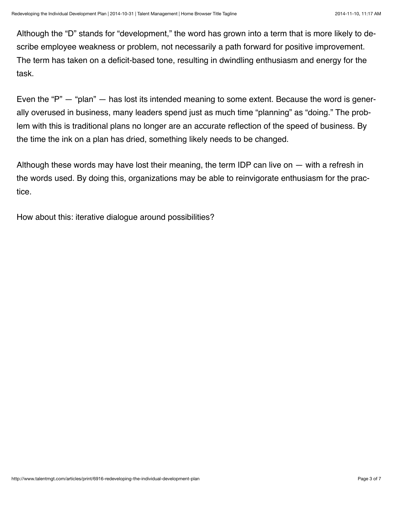Although the "D" stands for "development," the word has grown into a term that is more likely to de‐ scribe employee weakness or problem, not necessarily a path forward for positive improvement. The term has taken on a deficit-based tone, resulting in dwindling enthusiasm and energy for the task.

Even the "P" — "plan" — has lost its intended meaning to some extent. Because the word is gener‐ ally overused in business, many leaders spend just as much time "planning" as "doing." The prob‐ lem with this is traditional plans no longer are an accurate reflection of the speed of business. By the time the ink on a plan has dried, something likely needs to be changed.

Although these words may have lost their meaning, the term IDP can live on — with a refresh in the words used. By doing this, organizations may be able to reinvigorate enthusiasm for the prac‐ tice.

How about this: iterative dialogue around possibilities?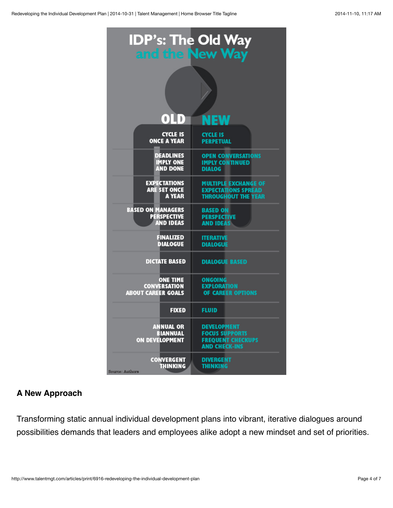| <b>IDP's: The Old Way<br/>and the New Way</b>                |                                                                                                 |
|--------------------------------------------------------------|-------------------------------------------------------------------------------------------------|
|                                                              |                                                                                                 |
| $0$ ID                                                       | NEW                                                                                             |
| <b>CYCLE IS</b>                                              | <b>CYCLE IS</b>                                                                                 |
| <b>ONCE A YEAR</b>                                           | <b>PERPETUAL</b>                                                                                |
| <b>DEADLINES</b>                                             | <b>OPEN CONVERSATIONS</b>                                                                       |
| <b>IMPLY ONE</b>                                             | <b>IMPLY CONTINUED</b>                                                                          |
| <b>AND DONE</b>                                              | <b>DIALOG</b>                                                                                   |
| <b>EXPECTATIONS</b>                                          | <b>MULTIPLE EXCHANGE OF</b>                                                                     |
| <b>ARE SET ONCE</b>                                          | <b>EXPECTATIONS SPREAD</b>                                                                      |
| <b>A YEAR</b>                                                | <b>THROUGHOUT THE YEAR</b>                                                                      |
| <b>BASED ON MANAGERS</b>                                     | <b>BASED ON</b>                                                                                 |
| <b>PERSPECTIVE</b>                                           | <b>PERSPECTIVE</b>                                                                              |
| <b>AND IDEAS</b>                                             | <b>AND IDEAS</b>                                                                                |
| <b>FINALIZED</b>                                             | <b>ITERATIVE</b>                                                                                |
| <b>DIALOGUE</b>                                              | <b>DIALOGUE</b>                                                                                 |
| <b>DICTATE BASED</b>                                         | <b>DIALOGUE BASED</b>                                                                           |
| <b>ONE TIME</b>                                              | <b>ONGOING</b>                                                                                  |
| <b>CONVERSATION</b>                                          | <b>EXPLORATION</b>                                                                              |
| <b>ABOUT CAREER GOALS</b>                                    | OF CAREER OPTIONS                                                                               |
| <b>FIXED</b>                                                 | <b>FLUID</b>                                                                                    |
| <b>ANNUAL OR</b><br><b>BIANNUAL</b><br><b>ON DEVELOPMENT</b> | <b>DEVELOPMENT</b><br><b>FOCUS SUPPORTS</b><br><b>FREQUENT CHECKUPS</b><br><b>AND CHECK-INS</b> |
| <b>CONVERGENT</b>                                            | <b>DIVERGENT</b>                                                                                |
| <b>THINKING</b>                                              | <b>THINKING</b>                                                                                 |

## **A New Approach**

Transforming static annual individual development plans into vibrant, iterative dialogues around possibilities demands that leaders and employees alike adopt a new mindset and set of priorities.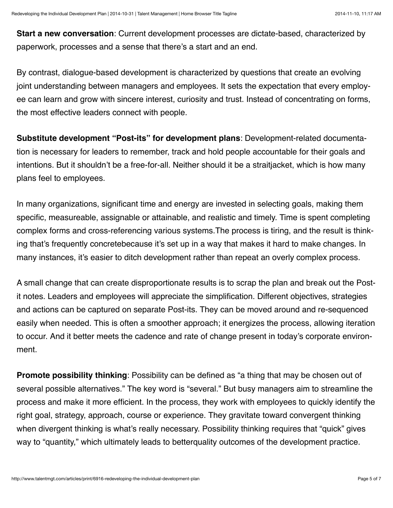**Start a new conversation**: Current development processes are dictate-based, characterized by paperwork, processes and a sense that there's a start and an end.

By contrast, dialogue-based development is characterized by questions that create an evolving joint understanding between managers and employees. It sets the expectation that every employ‐ ee can learn and grow with sincere interest, curiosity and trust. Instead of concentrating on forms, the most effective leaders connect with people.

**Substitute development "Post-its" for development plans**: Development-related documenta‐ tion is necessary for leaders to remember, track and hold people accountable for their goals and intentions. But it shouldn't be a free-for-all. Neither should it be a straitjacket, which is how many plans feel to employees.

In many organizations, significant time and energy are invested in selecting goals, making them specific, measureable, assignable or attainable, and realistic and timely. Time is spent completing complex forms and cross-referencing various systems.The process is tiring, and the result is think‐ ing that's frequently concretebecause it's set up in a way that makes it hard to make changes. In many instances, it's easier to ditch development rather than repeat an overly complex process.

A small change that can create disproportionate results is to scrap the plan and break out the Postit notes. Leaders and employees will appreciate the simplification. Different objectives, strategies and actions can be captured on separate Post-its. They can be moved around and re-sequenced easily when needed. This is often a smoother approach; it energizes the process, allowing iteration to occur. And it better meets the cadence and rate of change present in today's corporate environ‐ ment.

**Promote possibility thinking**: Possibility can be defined as "a thing that may be chosen out of several possible alternatives." The key word is "several." But busy managers aim to streamline the process and make it more efficient. In the process, they work with employees to quickly identify the right goal, strategy, approach, course or experience. They gravitate toward convergent thinking when divergent thinking is what's really necessary. Possibility thinking requires that "quick" gives way to "quantity," which ultimately leads to betterquality outcomes of the development practice.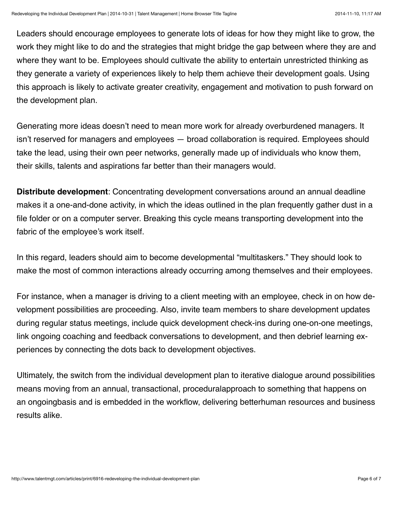Leaders should encourage employees to generate lots of ideas for how they might like to grow, the work they might like to do and the strategies that might bridge the gap between where they are and where they want to be. Employees should cultivate the ability to entertain unrestricted thinking as they generate a variety of experiences likely to help them achieve their development goals. Using this approach is likely to activate greater creativity, engagement and motivation to push forward on the development plan.

Generating more ideas doesn't need to mean more work for already overburdened managers. It isn't reserved for managers and employees — broad collaboration is required. Employees should take the lead, using their own peer networks, generally made up of individuals who know them, their skills, talents and aspirations far better than their managers would.

**Distribute development**: Concentrating development conversations around an annual deadline makes it a one-and-done activity, in which the ideas outlined in the plan frequently gather dust in a file folder or on a computer server. Breaking this cycle means transporting development into the fabric of the employee's work itself.

In this regard, leaders should aim to become developmental "multitaskers." They should look to make the most of common interactions already occurring among themselves and their employees.

For instance, when a manager is driving to a client meeting with an employee, check in on how de‐ velopment possibilities are proceeding. Also, invite team members to share development updates during regular status meetings, include quick development check-ins during one-on-one meetings, link ongoing coaching and feedback conversations to development, and then debrief learning ex‐ periences by connecting the dots back to development objectives.

Ultimately, the switch from the individual development plan to iterative dialogue around possibilities means moving from an annual, transactional, proceduralapproach to something that happens on an ongoingbasis and is embedded in the workflow, delivering betterhuman resources and business results alike.